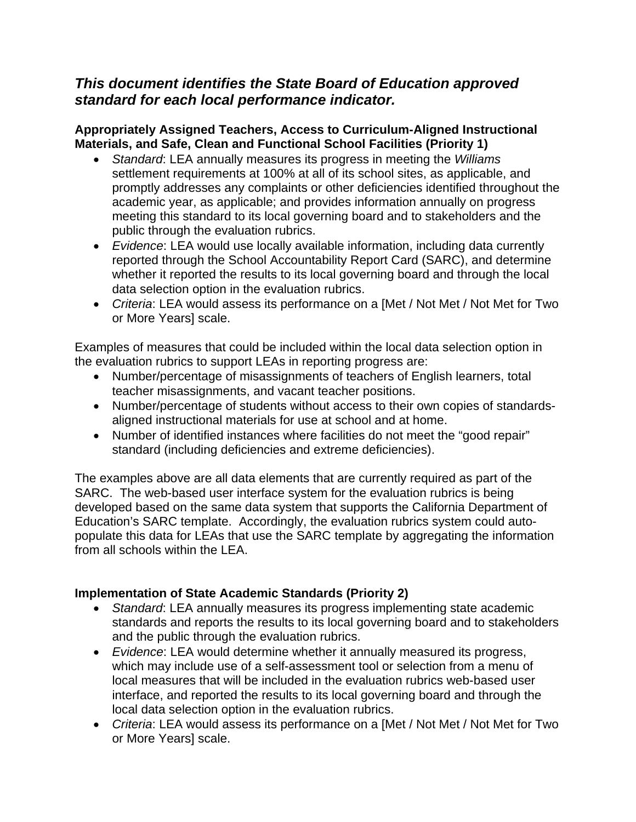# *This document identifies the State Board of Education approved standard for each local performance indicator.*

## **Appropriately Assigned Teachers, Access to Curriculum-Aligned Instructional Materials, and Safe, Clean and Functional School Facilities (Priority 1)**

- *Standard*: LEA annually measures its progress in meeting the *Williams* settlement requirements at 100% at all of its school sites, as applicable, and promptly addresses any complaints or other deficiencies identified throughout the academic year, as applicable; and provides information annually on progress meeting this standard to its local governing board and to stakeholders and the public through the evaluation rubrics.
- *Evidence*: LEA would use locally available information, including data currently reported through the School Accountability Report Card (SARC), and determine whether it reported the results to its local governing board and through the local data selection option in the evaluation rubrics.
- *Criteria*: LEA would assess its performance on a [Met / Not Met / Not Met for Two or More Years] scale.

Examples of measures that could be included within the local data selection option in the evaluation rubrics to support LEAs in reporting progress are:

- Number/percentage of misassignments of teachers of English learners, total teacher misassignments, and vacant teacher positions.
- Number/percentage of students without access to their own copies of standardsaligned instructional materials for use at school and at home.
- Number of identified instances where facilities do not meet the "good repair" standard (including deficiencies and extreme deficiencies).

The examples above are all data elements that are currently required as part of the SARC. The web-based user interface system for the evaluation rubrics is being developed based on the same data system that supports the California Department of Education's SARC template. Accordingly, the evaluation rubrics system could autopopulate this data for LEAs that use the SARC template by aggregating the information from all schools within the LEA.

## **Implementation of State Academic Standards (Priority 2)**

- *Standard*: LEA annually measures its progress implementing state academic standards and reports the results to its local governing board and to stakeholders and the public through the evaluation rubrics.
- *Evidence*: LEA would determine whether it annually measured its progress, which may include use of a self-assessment tool or selection from a menu of local measures that will be included in the evaluation rubrics web-based user interface, and reported the results to its local governing board and through the local data selection option in the evaluation rubrics.
- *Criteria*: LEA would assess its performance on a [Met / Not Met / Not Met for Two or More Years] scale.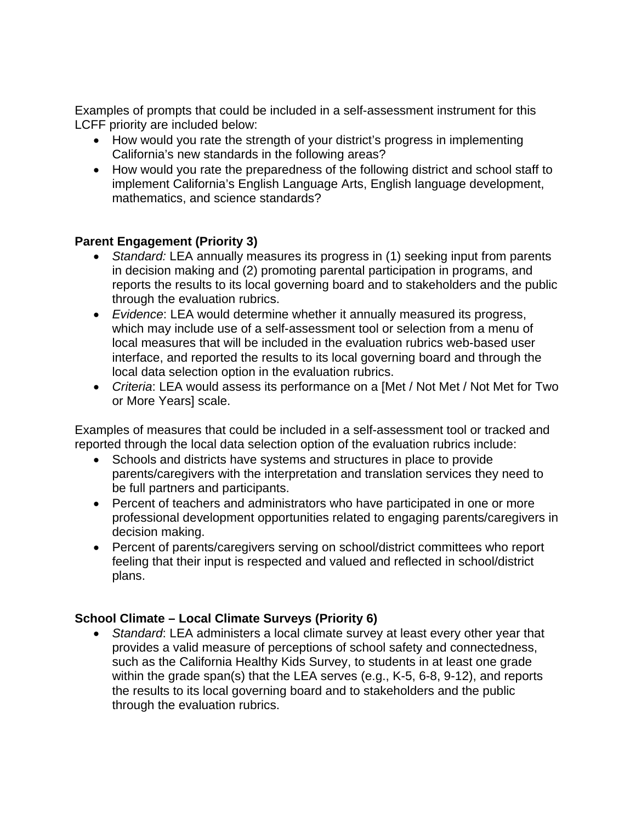Examples of prompts that could be included in a self-assessment instrument for this LCFF priority are included below:

- How would you rate the strength of your district's progress in implementing California's new standards in the following areas?
- How would you rate the preparedness of the following district and school staff to implement California's English Language Arts, English language development, mathematics, and science standards?

### **Parent Engagement (Priority 3)**

- *Standard:* LEA annually measures its progress in (1) seeking input from parents in decision making and (2) promoting parental participation in programs, and reports the results to its local governing board and to stakeholders and the public through the evaluation rubrics.
- *Evidence*: LEA would determine whether it annually measured its progress, which may include use of a self-assessment tool or selection from a menu of local measures that will be included in the evaluation rubrics web-based user interface, and reported the results to its local governing board and through the local data selection option in the evaluation rubrics.
- *Criteria*: LEA would assess its performance on a [Met / Not Met / Not Met for Two or More Years] scale.

Examples of measures that could be included in a self-assessment tool or tracked and reported through the local data selection option of the evaluation rubrics include:

- Schools and districts have systems and structures in place to provide parents/caregivers with the interpretation and translation services they need to be full partners and participants.
- Percent of teachers and administrators who have participated in one or more professional development opportunities related to engaging parents/caregivers in decision making.
- Percent of parents/caregivers serving on school/district committees who report feeling that their input is respected and valued and reflected in school/district plans.

#### **School Climate – Local Climate Surveys (Priority 6)**

 *Standard*: LEA administers a local climate survey at least every other year that provides a valid measure of perceptions of school safety and connectedness, such as the California Healthy Kids Survey, to students in at least one grade within the grade span(s) that the LEA serves (e.g., K-5, 6-8, 9-12), and reports the results to its local governing board and to stakeholders and the public through the evaluation rubrics.